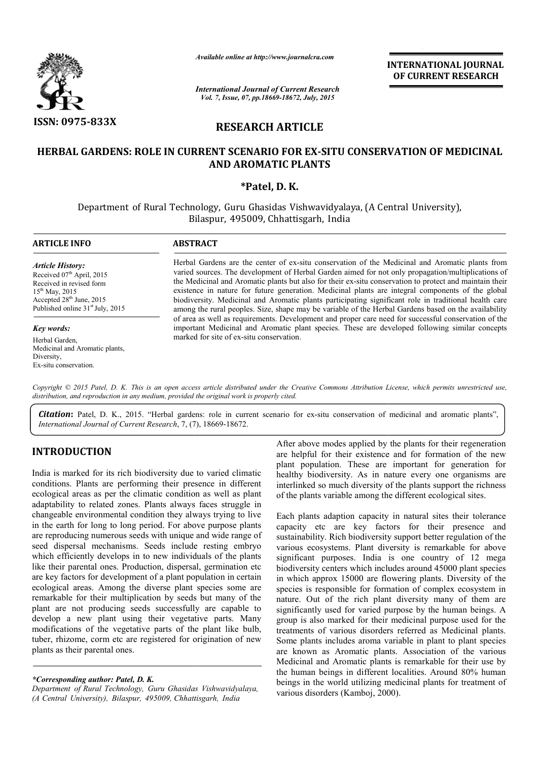

*Available online at http://www.journalcra.com*

*International Journal of Current Research Vol. 7, Issue, 07, pp.18669-18672, July, 2015*

INTERNATIONAL INTERNATIONAL JOURNAL OF CURRENT RESEARCH

# RESEARCH ARTICLE

# HERBAL GARDENS: ROLE IN CURRENT SCENARIO FOR EX-SITU CONSERVATION OF MEDICINAL AND AROMATIC PLANTS

## \*Patel, D. K.

Department of Rural Technology, Guru Ghasidas Vishwavidyalaya, (A Central University), B Bilaspur, 495009, Chhattisgarh, India

| <b>ARTICLE INFO</b>                                                                                                                                                                                         | <b>ABSTRACT</b>                                                                                                                                                                                                                                                                                                                                                                                                                                                                                                                                                                                                                                                                                                                                                                                                                                                                              |
|-------------------------------------------------------------------------------------------------------------------------------------------------------------------------------------------------------------|----------------------------------------------------------------------------------------------------------------------------------------------------------------------------------------------------------------------------------------------------------------------------------------------------------------------------------------------------------------------------------------------------------------------------------------------------------------------------------------------------------------------------------------------------------------------------------------------------------------------------------------------------------------------------------------------------------------------------------------------------------------------------------------------------------------------------------------------------------------------------------------------|
| <b>Article History:</b><br>Received 07 <sup>th</sup> April, 2015<br>Received in revised form<br>$15^{th}$ May, 2015<br>Accepted 28 <sup>th</sup> June, 2015<br>Published online 31 <sup>st</sup> July, 2015 | Herbal Gardens are the center of ex-situ conservation of the Medicinal and Aromatic plants from<br>varied sources. The development of Herbal Garden aimed for not only propagation/multiplications of<br>the Medicinal and Aromatic plants but also for their ex-situ conservation to protect and maintain their<br>existence in nature for future generation. Medicinal plants are integral components of the global<br>biodiversity. Medicinal and Aromatic plants participating significant role in traditional health care<br>among the rural peoples. Size, shape may be variable of the Herbal Gardens based on the availability<br>of area as well as requirements. Development and proper care need for successful conservation of the<br>important Medicinal and Aromatic plant species. These are developed following similar concepts<br>marked for site of ex-situ conservation. |
| <b>Key words:</b>                                                                                                                                                                                           |                                                                                                                                                                                                                                                                                                                                                                                                                                                                                                                                                                                                                                                                                                                                                                                                                                                                                              |
| Herbal Garden,<br>Medicinal and Aromatic plants,<br>Diversity,<br>Ex-situ conservation.                                                                                                                     |                                                                                                                                                                                                                                                                                                                                                                                                                                                                                                                                                                                                                                                                                                                                                                                                                                                                                              |

Copyright © 2015 Patel, D. K. This is an open access article distributed under the Creative Commons Attribution License, which permits unrestricted use, *distribution, and reproduction in any medium, provided the original work is properly cited.*

Citation: Patel, D. K., 2015. "Herbal gardens: role in current scenario for ex-situ conservation of medicinal and aromatic plants", *International Journal of Current Research*, 7, (7 7), 18669-18672.

# INTRODUCTION

India is marked for its rich biodiversity due to varied climatic conditions. Plants are performing their presence in different ecological areas as per the climatic condition as well as plant adaptability to related zones. Plants always faces struggle in changeable environmental condition they always trying to live in the earth for long to long period. For above purpose plants are reproducing numerous seeds with unique and wide range of seed dispersal mechanisms. Seeds include resting embryo which efficiently develops in to new individuals of the plants like their parental ones. Production, dispersal, germination etc are key factors for development of a plant population in certain ecological areas. Among the diverse plant species some are remarkable for their multiplication by seeds but many of the plant are not producing seeds successfully are capable to develop a new plant using their vegetative parts parts. Many modifications of the vegetative parts of the plant like bulb, tuber, rhizome, corm etc are registered for origination of new plants as their parental ones.

*\*Corresponding author: Patel, D. K.*

*Department of Rural Technology, Guru Ghasidas das Vishwavidyalaya, (A Central University), Bilaspur, 495009, Chhatti tisgarh, India*

After above modes applied by the plants for their regeneration are helpful for their existence and for formation of the new plant population. These are important for generation for healthy biodiversity. As in nature every one organisms are interlinked so much diversity of the plants support the richness of the plants variable among the different ecological sites.

Each plants adaption capacity in natural sites their tolerance capacity etc are key factors for their presence and sustainability. Rich biodiversity support better regulation of the various ecosystems. Plant diversity is remarkable for above significant purposes. India is one country of 12 mega biodiversity centers which includes around 45000 plant species in which approx 15000 are flowering plants. Diversity of the species is responsible for formation of complex ecosystem in nature. Out of the rich plant diversity many of them are significantly used for varied purpose by the human beings. A group is also marked for their medicinal purpose used for treatments of various disorders referred as Medicinal plants. Some plants includes aroma variable in plant to plant species are known as Aromatic plants. Association of the various Medicinal and Aromatic plants is remarkable for their use by the human beings in different localities. Around 80% human beings in the world utilizing medicinal plants for treatment of various disorders (Kamboj, 2000). After above modes applied by the plants for their regeneration<br>are helpful for their existence and for formation of the new<br>plant population. These are important for generation for<br>healthy biodiversity. As in nature every is responsible for formation of complex ecosystem in<br>Out of the rich plant diversity many of them are<br>intly used for varied purpose by the human beings. A<br>also marked for their medicinal purpose used for the **INTERNATIONAL JOURNAL TOWAL COFT (FOREERY PRESEARCH TRESEARCH CF, 25, Jaby, 2015<br>
TICLE TORE CONSERVATION OF MEDICINAL PLANTS<br>
CF CURRENT RESEARCH TRISE CREAT CONSERVATION OF MEDICINAL PLANTS<br>
CF (FORE CHET CONSERVATION**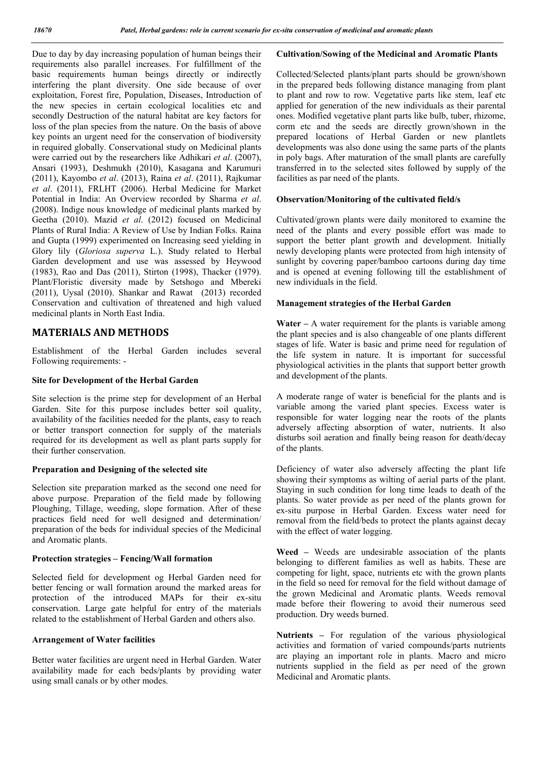Due to day by day increasing population of human beings their requirements also parallel increases. For fulfillment of the basic requirements human beings directly or indirectly interfering the plant diversity. One side because of over exploitation, Forest fire, Population, Diseases, Introduction of the new species in certain ecological localities etc and secondly Destruction of the natural habitat are key factors for loss of the plan species from the nature. On the basis of above key points an urgent need for the conservation of biodiversity in required globally. Conservational study on Medicinal plants were carried out by the researchers like Adhikari *et al.* (2007), Ansari (1993), Deshmukh (2010), Kasagana and Karumuri (2011), Kayombo *et al*. (2013), Raina *et al*. (2011), Rajkumar *et al*. (2011), FRLHT (2006). Herbal Medicine for Market Potential in India: An Overview recorded by Sharma *et al*. (2008). Indige nous knowledge of medicinal plants marked by Geetha (2010). Mazid *et al*. (2012) focused on Medicinal Plants of Rural India: A Review of Use by Indian Folks. Raina and Gupta (1999) experimented on Increasing seed yielding in Glory lily (*Gloriosa superva* L.). Study related to Herbal Garden development and use was assessed by Heywood (1983), Rao and Das (2011), Stirton (1998), Thacker (1979). Plant/Floristic diversity made by Setshogo and Mbereki (2011), Uysal (2010). Shankar and Rawat (2013) recorded Conservation and cultivation of threatened and high valued medicinal plants in North East India.

# MATERIALS AND METHODS

Establishment of the Herbal Garden includes several Following requirements: -

## Site for Development of the Herbal Garden

Site selection is the prime step for development of an Herbal Garden. Site for this purpose includes better soil quality, availability of the facilities needed for the plants, easy to reach or better transport connection for supply of the materials required for its development as well as plant parts supply for their further conservation.

## Preparation and Designing of the selected site

Selection site preparation marked as the second one need for above purpose. Preparation of the field made by following Ploughing, Tillage, weeding, slope formation. After of these practices field need for well designed and determination/ preparation of the beds for individual species of the Medicinal and Aromatic plants.

## Protection strategies – Fencing/Wall formation

Selected field for development og Herbal Garden need for better fencing or wall formation around the marked areas for protection of the introduced MAPs for their ex-situ conservation. Large gate helpful for entry of the materials related to the establishment of Herbal Garden and others also.

#### Arrangement of Water facilities

Better water facilities are urgent need in Herbal Garden. Water availability made for each beds/plants by providing water using small canals or by other modes.

# Cultivation/Sowing of the Medicinal and Aromatic Plants

Collected/Selected plants/plant parts should be grown/shown in the prepared beds following distance managing from plant to plant and row to row. Vegetative parts like stem, leaf etc applied for generation of the new individuals as their parental ones. Modified vegetative plant parts like bulb, tuber, rhizome, corm etc and the seeds are directly grown/shown in the prepared locations of Herbal Garden or new plantlets developments was also done using the same parts of the plants in poly bags. After maturation of the small plants are carefully transferred in to the selected sites followed by supply of the facilities as par need of the plants.

# Observation/Monitoring of the cultivated field/s

Cultivated/grown plants were daily monitored to examine the need of the plants and every possible effort was made to support the better plant growth and development. Initially newly developing plants were protected from high intensity of sunlight by covering paper/bamboo cartoons during day time and is opened at evening following till the establishment of new individuals in the field.

# Management strategies of the Herbal Garden

Water  $-$  A water requirement for the plants is variable among the plant species and is also changeable of one plants different stages of life. Water is basic and prime need for regulation of the life system in nature. It is important for successful physiological activities in the plants that support better growth and development of the plants.

A moderate range of water is beneficial for the plants and is variable among the varied plant species. Excess water is responsible for water logging near the roots of the plants adversely affecting absorption of water, nutrients. It also disturbs soil aeration and finally being reason for death/decay of the plants.

Deficiency of water also adversely affecting the plant life showing their symptoms as wilting of aerial parts of the plant. Staying in such condition for long time leads to death of the plants. So water provide as per need of the plants grown for ex-situ purpose in Herbal Garden. Excess water need for removal from the field/beds to protect the plants against decay with the effect of water logging.

Weed – Weeds are undesirable association of the plants belonging to different families as well as habits. These are competing for light, space, nutrients etc with the grown plants in the field so need for removal for the field without damage of the grown Medicinal and Aromatic plants. Weeds removal made before their flowering to avoid their numerous seed production. Dry weeds burned.

Nutrients – For regulation of the various physiological activities and formation of varied compounds/parts nutrients are playing an important role in plants. Macro and micro nutrients supplied in the field as per need of the grown Medicinal and Aromatic plants.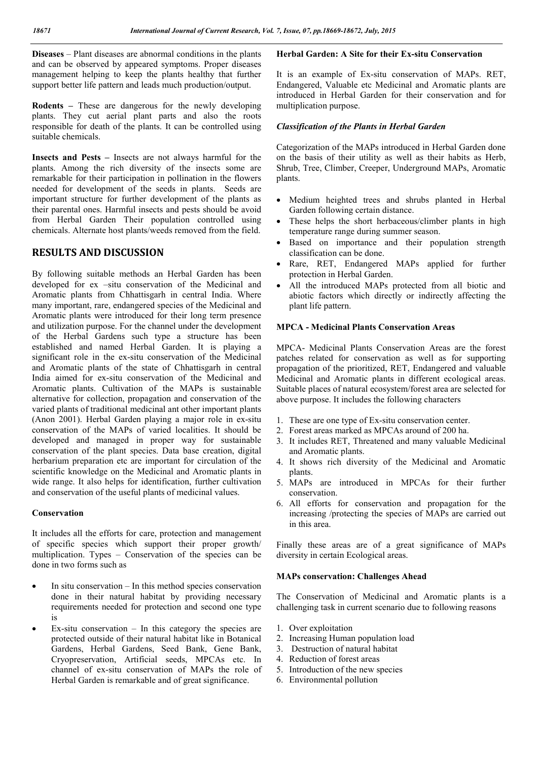Diseases – Plant diseases are abnormal conditions in the plants and can be observed by appeared symptoms. Proper diseases management helping to keep the plants healthy that further support better life pattern and leads much production/output.

Rodents – These are dangerous for the newly developing plants. They cut aerial plant parts and also the roots responsible for death of the plants. It can be controlled using suitable chemicals.

Insects and Pests – Insects are not always harmful for the plants. Among the rich diversity of the insects some are remarkable for their participation in pollination in the flowers needed for development of the seeds in plants. Seeds are important structure for further development of the plants as their parental ones. Harmful insects and pests should be avoid from Herbal Garden Their population controlled using chemicals. Alternate host plants/weeds removed from the field.

# RESULTS AND DISCUSSION

By following suitable methods an Herbal Garden has been developed for ex –situ conservation of the Medicinal and Aromatic plants from Chhattisgarh in central India. Where many important, rare, endangered species of the Medicinal and Aromatic plants were introduced for their long term presence and utilization purpose. For the channel under the development of the Herbal Gardens such type a structure has been established and named Herbal Garden. It is playing a significant role in the ex-situ conservation of the Medicinal and Aromatic plants of the state of Chhattisgarh in central India aimed for ex-situ conservation of the Medicinal and Aromatic plants. Cultivation of the MAPs is sustainable alternative for collection, propagation and conservation of the varied plants of traditional medicinal ant other important plants (Anon 2001). Herbal Garden playing a major role in ex-situ conservation of the MAPs of varied localities. It should be developed and managed in proper way for sustainable conservation of the plant species. Data base creation, digital herbarium preparation etc are important for circulation of the scientific knowledge on the Medicinal and Aromatic plants in wide range. It also helps for identification, further cultivation and conservation of the useful plants of medicinal values.

### Conservation

It includes all the efforts for care, protection and management of specific species which support their proper growth/ multiplication. Types – Conservation of the species can be done in two forms such as

- In situ conservation In this method species conservation done in their natural habitat by providing necessary requirements needed for protection and second one type is
- Ex-situ conservation In this category the species are protected outside of their natural habitat like in Botanical Gardens, Herbal Gardens, Seed Bank, Gene Bank, Cryopreservation, Artificial seeds, MPCAs etc. In channel of ex-situ conservation of MAPs the role of Herbal Garden is remarkable and of great significance.

#### Herbal Garden: A Site for their Ex-situ Conservation

It is an example of Ex-situ conservation of MAPs. RET, Endangered, Valuable etc Medicinal and Aromatic plants are introduced in Herbal Garden for their conservation and for multiplication purpose.

#### *Classification of the Plants in Herbal Garden*

Categorization of the MAPs introduced in Herbal Garden done on the basis of their utility as well as their habits as Herb, Shrub, Tree, Climber, Creeper, Underground MAPs, Aromatic plants.

- Medium heighted trees and shrubs planted in Herbal Garden following certain distance.
- These helps the short herbaceous/climber plants in high temperature range during summer season.
- Based on importance and their population strength classification can be done.
- Rare, RET, Endangered MAPs applied for further protection in Herbal Garden.
- All the introduced MAPs protected from all biotic and abiotic factors which directly or indirectly affecting the plant life pattern.

## MPCA - Medicinal Plants Conservation Areas

MPCA- Medicinal Plants Conservation Areas are the forest patches related for conservation as well as for supporting propagation of the prioritized, RET, Endangered and valuable Medicinal and Aromatic plants in different ecological areas. Suitable places of natural ecosystem/forest area are selected for above purpose. It includes the following characters

- 1. These are one type of Ex-situ conservation center.
- 2. Forest areas marked as MPCAs around of 200 ha.
- 3. It includes RET, Threatened and many valuable Medicinal and Aromatic plants.
- 4. It shows rich diversity of the Medicinal and Aromatic plants.
- 5. MAPs are introduced in MPCAs for their further conservation.
- 6. All efforts for conservation and propagation for the increasing /protecting the species of MAPs are carried out in this area.

Finally these areas are of a great significance of MAPs diversity in certain Ecological areas.

### MAPs conservation: Challenges Ahead

The Conservation of Medicinal and Aromatic plants is a challenging task in current scenario due to following reasons

- 1. Over exploitation
- 2. Increasing Human population load
- 3. Destruction of natural habitat
- 4. Reduction of forest areas
- 5. Introduction of the new species
- 6. Environmental pollution